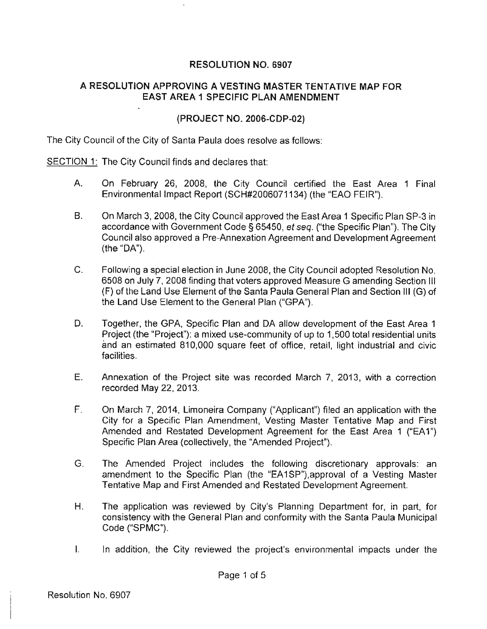## RESOLUTION NO. 6907

## A RESOLUTION APPROVING A VESTING MASTER TENTATIVE MAP FOR EAST AREA 1 SPECIFIC PLAN AMENDMENT

## (PROJECT NO. 2006-CDP-02)

The City Council of the City of Santa Paula does resolve as follows:

SECTION 1: The City Council finds and declares that:

- A. On February 26, 2008, the City Council certified the East Area 1 Final Environmental Impact Report (SCH#2006071134) (the "EAO FEIR").
- B. On March 3, 2008, the City Council approved the East Area 1 Specific Plan SP-3 in accordance with Government Code§ 65450, et seq. ("the Specific Plan"). The City Council also approved a Pre-Annexation Agreement and Development Agreement (the "DA").
- C. Following a special election in June 2008, the City Council adopted Resolution No. 6508 on July 7, 2008 finding that voters approved Measure G amending Section Ill (F) of the Land Use Element of the Santa Paula General Plan and Section Ill (G) of the Land Use Element to the General Plan ("GPA").
- D. Together, the GPA, Specific Plan and DA allow development of the East Area 1 Project (the "Project"): a mixed use-community of up to 1,500 total residential units and an estimated 810,000 square feet of office, retail, light industrial and civic facilities.
- E. Annexation of the Project site was recorded March 7, 2013, with a correction recorded May 22, 2013.
- F. On March 7, 2014, Limoneira Company ("Applicant") filed an application with the City for a Specific Plan Amendment, Vesting Master Tentative Map and First Amended and Restated Development Agreement for the East Area 1 ("EA1") Specific Plan Area (collectively, the "Amended Project").
- G. The Amended Project includes the following discretionary approvals: an amendment to the Specific Plan (the "EA1SP"), approval of a Vesting Master Tentative Map and First Amended and Restated Development Agreement.
- H. The application was reviewed by City's Planning Department tor, in part, for consistency with the General Plan and conformity with the Santa Paula Municipal Code ("SPMC").
- I. In addition, the City reviewed the project's environmental impacts under the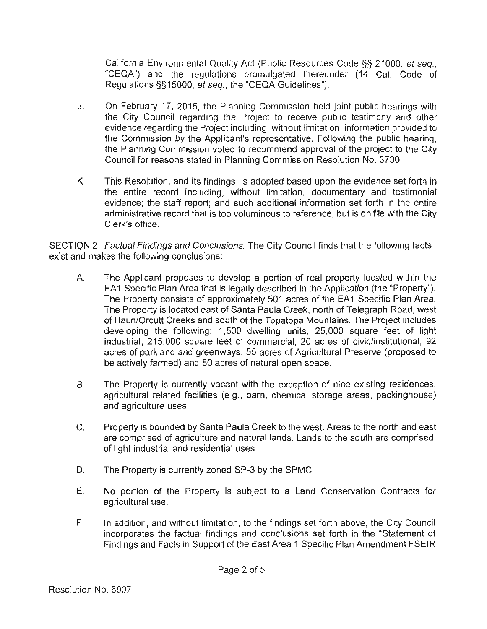California Environmental Quality Act (Public Resources Code §§ 21000, et seq., "CEQA") and the regulations promulgated thereunder (14 Cal. Code of Regulations §§15000, et seq., the "CEQA Guidelines");

- J. On February 17, 2015, the Planning Commission held joint public hearings with the City Council regarding the Project to receive public testimony and other evidence regarding the Project including, without limitation, information provided to the Commission by the Applicant's representative. Following the public hearing, the Planning Commission voted to recommend approval of the project to the City Council for reasons stated in Planning Commission Resolution No. 3730;
- K. This Resolution, and its findings, is adopted based upon the evidence set forth in the entire record including, without limitation, documentary and testimonial evidence; the staff report; and such additional information set forth in the entire administrative record that is too voluminous to reference, but is on file with the City Clerk's office.

SECTION 2: Factual Findings and Conclusions. The City Council finds that the following facts exist and makes the following conclusions:

- A. The Applicant proposes to develop a portion of real property located within the EA1 Specific Plan Area that is legally described in the Application (the "Property"). The Property consists of approximately 501 acres of the EA1 Specific Plan Area. The Property is located east of Santa Paula Creek, north of Telegraph Road, west of Haun/Orcutt Creeks and south of the Topatopa Mountains. The Project includes developing the following: 1,500 dwelling units, 25,000 square feet of light industrial, 215,000 square feet of commercial, 20 acres of civic/institutional, 92 acres of parkland and greenways, 55 acres of Agricultural Preserve (proposed to be actively farmed) and 80 acres of natural open space.
- 8. The Property is currently vacant with the exception of nine existing residences, agricultural related facilities (e.g., barn, chemical storage areas, packinghouse) and agriculture uses.
- C. Property is bounded by Santa Paula Creek to the west. Areas to the north and east are comprised of agriculture and natural lands. Lands to the south are comprised of light industrial and residential uses.
- D. The Property is currently zoned SP-3 by the SPMC.
- E. No portion of the Property is subject to a Land Conservation Contracts for agricultural use.
- F. In addition, and without limitation, to the findings set forth above, the City Council incorporates the factual findings and conclusions set forth in the "Statement of Findings and Facts in Support of the East Area 1 Specific Plan Amendment FSEIR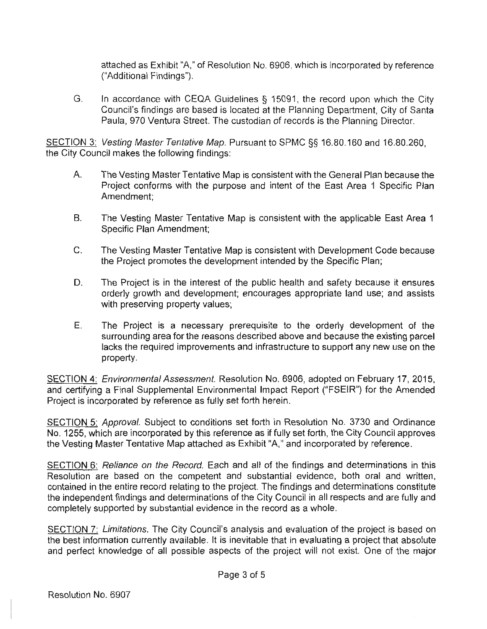attached as Exhibit "A," of Resolution No. 6906, which is incorporated by reference ("Additional Findings").

G. In accordance with CEQA Guidelines § 15091, the record upon which the City Council's findings are based is located at the Planning Department, City of Santa Paula, 970 Ventura Street. The custodian of records is the Planning Director.

SECTION 3: Vesting Master Tentative Map. Pursuant to SPMC §§ 16.80.160 and 16.80.260, the City Council makes the following findings:

- A. The Vesting Master Tentative Map is consistent with the General Plan because the Project conforms with the purpose and intent of the East Area 1 Specific Plan Amendment;
- B. The Vesting Master Tentative Map is consistent with the applicable East Area 1 Specific Plan Amendment;
- C. The Vesting Master Tentative Map is consistent with Development Code because the Project promotes the development intended by the Specific Plan;
- D. The Project is in the interest of the public health and safety because it ensures orderly growth and development; encourages appropriate land use; and assists with preserving property values;
- E. The Project is a necessary prerequisite to the orderly development of the surrounding area for the reasons described above and because the existing parcel lacks the required improvements and infrastructure to support any new use on the property.

SECTION 4: Environmental Assessment. Resolution No. 6906, adopted on February 17, 2015, and certifying a Final Supplemental Environmental Impact Report ("FSEIR") for the Amended Project is incorporated by reference as fully set forth herein.

SECTION 5: Approval. Subject to conditions set forth in Resolution No. 3730 and Ordinance No. 1255, which are incorporated by this reference as if fully set forth, the City Council approves the Vesting Master Tentative Map attached as Exhibit "A," and incorporated by reference.

SECTION 6: Reliance on the Record. Each and all of the findings and determinations in this Resolution are based on the competent and substantial evidence, both oral and written, contained in the entire record relating to the project. The findings and determinations constitute the independent findings and determinations of the City Council in all respects and are fully and completely supported by substantial evidence in the record as a whole.

SECTION 7: Limitations. The City Council's analysis and evaluation of the project is based on the best information currently available. It is inevitable that in evaluating a project that absolute and perfect knowledge of all possible aspects of the project will not exist. One of the major